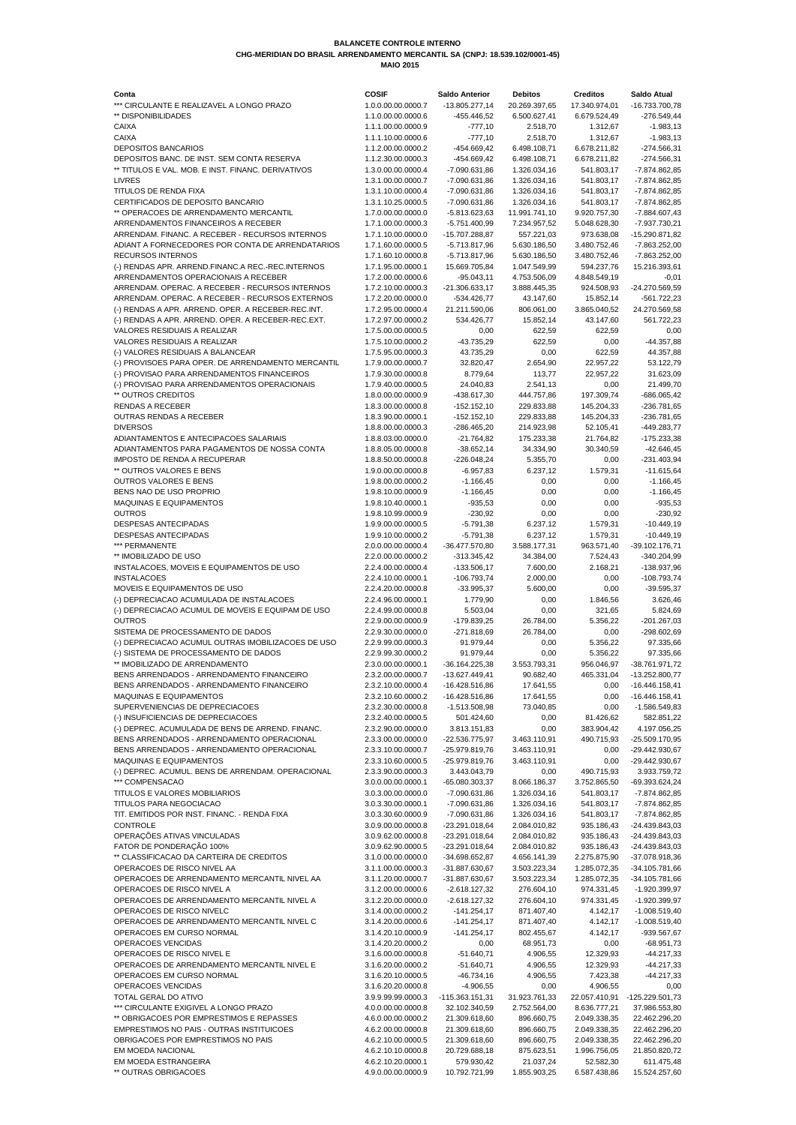| Conta                                                                                             | <b>COSIF</b>                             | <b>Saldo Anterior</b>              | <b>Debitos</b>                | <b>Creditos</b>               | <b>Saldo Atual</b>                 |
|---------------------------------------------------------------------------------------------------|------------------------------------------|------------------------------------|-------------------------------|-------------------------------|------------------------------------|
| *** CIRCULANTE E REALIZAVEL A LONGO PRAZO<br>** DISPONIBILIDADES                                  | 1.0.0.00.00.0000.7<br>1.1.0.00.00.0000.6 | $-13.805.277,14$<br>-455.446,52    | 20.269.397,65<br>6.500.627,41 | 17.340.974,01<br>6.679.524,49 | -16.733.700,78<br>$-276.549,44$    |
| <b>CAIXA</b>                                                                                      | 1.1.1.00.00.0000.9                       | $-777,10$                          | 2.518,70                      | 1.312,67                      | $-1.983, 13$                       |
| <b>CAIXA</b>                                                                                      | 1.1.1.10.00.0000.6                       | $-777,10$                          | 2.518,70                      | 1.312,67                      | $-1.983, 13$                       |
| <b>DEPOSITOS BANCARIOS</b>                                                                        | 1.1.2.00.00.0000.2                       | -454.669,42                        | 6.498.108,71                  | 6.678.211,82                  | $-274.566,31$                      |
| DEPOSITOS BANC. DE INST. SEM CONTA RESERVA                                                        | 1.1.2.30.00.0000.3                       | -454.669,42                        | 6.498.108,71                  | 6.678.211,82                  | $-274.566,31$                      |
| ** TITULOS E VAL. MOB. E INST. FINANC. DERIVATIVOS                                                | 1.3.0.00.00.0000.4                       | -7.090.631,86                      | 1.326.034,16                  | 541.803,17                    | -7.874.862,85                      |
| <b>LIVRES</b><br><b>TITULOS DE RENDA FIXA</b>                                                     | 1.3.1.00.00.0000.7<br>1.3.1.10.00.0000.4 | -7.090.631,86<br>-7.090.631,86     | 1.326.034,16<br>1.326.034,16  | 541.803,17<br>541.803,17      | -7.874.862,85<br>-7.874.862,85     |
| CERTIFICADOS DE DEPOSITO BANCARIO                                                                 | 1.3.1.10.25.0000.5                       | -7.090.631,86                      | 1.326.034,16                  | 541.803,17                    | -7.874.862,85                      |
| ** OPERACOES DE ARRENDAMENTO MERCANTIL                                                            | 1.7.0.00.00.0000.0                       | $-5.813.623,63$                    | 11.991.741,10                 | 9.920.757,30                  | -7.884.607,43                      |
| ARRENDAMENTOS FINANCEIROS A RECEBER                                                               | 1.7.1.00.00.0000.3                       | $-5.751.400,99$                    | 7.234.957,52                  | 5.048.628,30                  | -7.937.730,21                      |
| ARRENDAM. FINANC. A RECEBER - RECURSOS INTERNOS                                                   | 1.7.1.10.00.0000.0                       | -15.707.288,87                     | 557.221,03                    | 973.638,08                    | -15.290.871,82                     |
| ADIANT A FORNECEDORES POR CONTA DE ARRENDATARIOS                                                  | 1.7.1.60.00.0000.5                       | $-5.713.817,96$                    | 5.630.186,50                  | 3.480.752,46                  | $-7.863.252,00$                    |
| <b>RECURSOS INTERNOS</b>                                                                          | 1.7.1.60.10.0000.8                       | $-5.713.817,96$                    | 5.630.186,50                  | 3.480.752,46                  | -7.863.252,00                      |
| (-) RENDAS APR. ARREND.FINANC.A REC.-REC.INTERNOS                                                 | 1.7.1.95.00.0000.1                       | 15.669.705,84                      | 1.047.549,99                  | 594.237,76                    | 15.216.393,61                      |
| ARRENDAMENTOS OPERACIONAIS A RECEBER<br>ARRENDAM. OPERAC. A RECEBER - RECURSOS INTERNOS           | 1.7.2.00.00.0000.6<br>1.7.2.10.00.0000.3 | $-95.043,11$<br>$-21.306.633,17$   | 4.753.506,09<br>3.888.445,35  | 4.848.549,19<br>924.508,93    | $-0,01$<br>-24.270.569,59          |
| ARRENDAM. OPERAC. A RECEBER - RECURSOS EXTERNOS                                                   | 1.7.2.20.00.0000.0                       | $-534.426,77$                      | 43.147,60                     | 15.852,14                     | $-561.722,23$                      |
| (-) RENDAS A APR. ARREND. OPER. A RECEBER-REC.INT.                                                | 1.7.2.95.00.0000.4                       | 21.211.590,06                      | 806.061,00                    | 3.865.040,52                  | 24.270.569,58                      |
| (-) RENDAS A APR. ARREND. OPER. A RECEBER-REC.EXT.                                                | 1.7.2.97.00.0000.2                       | 534.426,77                         | 15.852,14                     | 43.147,60                     | 561.722,23                         |
| <b>VALORES RESIDUAIS A REALIZAR</b>                                                               | 1.7.5.00.00.0000.5                       | 0,00                               | 622,59                        | 622,59                        | 0,00                               |
| <b>VALORES RESIDUAIS A REALIZAR</b>                                                               | 1.7.5.10.00.0000.2                       | $-43.735,29$                       | 622,59                        | 0,00                          | -44.357,88                         |
| (-) VALORES RESIDUAIS A BALANCEAR                                                                 | 1.7.5.95.00.0000.3                       | 43.735,29                          | 0,00                          | 622,59                        | 44.357,88                          |
| (-) PROVISOES PARA OPER. DE ARRENDAMENTO MERCANTIL<br>(-) PROVISAO PARA ARRENDAMENTOS FINANCEIROS | 1.7.9.00.00.0000.7<br>1.7.9.30.00.0000.8 | 32.820,47<br>8.779,64              | 2.654,90<br>113,77            | 22.957,22                     | 53.122,79                          |
| (-) PROVISAO PARA ARRENDAMENTOS OPERACIONAIS                                                      | 1.7.9.40.00.0000.5                       | 24.040,83                          | 2.541,13                      | 22.957,22<br>0,00             | 31.623,09<br>21.499,70             |
| ** OUTROS CREDITOS                                                                                | 1.8.0.00.00.0000.9                       | -438.617,30                        | 444.757,86                    | 197.309,74                    | $-686.065,42$                      |
| <b>RENDAS A RECEBER</b>                                                                           | 1.8.3.00.00.0000.8                       | $-152.152,10$                      | 229.833,88                    | 145.204,33                    | -236.781,65                        |
| OUTRAS RENDAS A RECEBER                                                                           | 1.8.3.90.00.0000.1                       | $-152.152,10$                      | 229.833,88                    | 145.204,33                    | -236.781,65                        |
| <b>DIVERSOS</b>                                                                                   | 1.8.8.00.00.0000.3                       | -286.465,20                        | 214.923,98                    | 52.105,41                     | -449.283,77                        |
| ADIANTAMENTOS E ANTECIPACOES SALARIAIS                                                            | 1.8.8.03.00.0000.0                       | $-21.764,82$                       | 175.233,38                    | 21.764,82                     | -175.233,38                        |
| ADIANTAMENTOS PARA PAGAMENTOS DE NOSSA CONTA                                                      | 1.8.8.05.00.0000.8                       | $-38.652,14$                       | 34.334,90                     | 30.340,59                     | $-42.646,45$                       |
| <b>IMPOSTO DE RENDA A RECUPERAR</b><br>** OUTROS VALORES E BENS                                   | 1.8.8.50.00.0000.8<br>1.9.0.00.00.0000.8 | $-226.048,24$<br>$-6.957,83$       | 5.355,70<br>6.237,12          | 0,00<br>1.579,31              | $-231.403,94$<br>$-11.615,64$      |
| <b>OUTROS VALORES E BENS</b>                                                                      | 1.9.8.00.00.0000.2                       | $-1.166,45$                        | 0,00                          | 0,00                          | $-1.166,45$                        |
| BENS NAO DE USO PROPRIO                                                                           | 1.9.8.10.00.0000.9                       | $-1.166,45$                        | 0,00                          | 0,00                          | $-1.166,45$                        |
| <b>MAQUINAS E EQUIPAMENTOS</b>                                                                    | 1.9.8.10.40.0000.1                       | $-935,53$                          | 0,00                          | 0,00                          | $-935,53$                          |
| <b>OUTROS</b>                                                                                     | 1.9.8.10.99.0000.9                       | $-230,92$                          | 0,00                          | 0,00                          | $-230,92$                          |
| <b>DESPESAS ANTECIPADAS</b>                                                                       | 1.9.9.00.00.0000.5                       | $-5.791,38$                        | 6.237,12                      | 1.579,31                      | $-10.449,19$                       |
| <b>DESPESAS ANTECIPADAS</b>                                                                       | 1.9.9.10.00.0000.2                       | -5.791,38                          | 6.237,12                      | 1.579,31                      | $-10.449,19$                       |
| *** PERMANENTE                                                                                    | 2.0.0.00.00.0000.4                       | $-36.477.570,80$                   | 3.588.177,31                  | 963.571,40                    | $-39.102.176,71$                   |
| ** IMOBILIZADO DE USO<br>INSTALACOES, MOVEIS E EQUIPAMENTOS DE USO                                | 2.2.0.00.00.0000.2<br>2.2.4.00.00.0000.4 | $-313.345,42$<br>$-133.506,17$     | 34.384,00<br>7.600,00         | 7.524,43<br>2.168,21          | $-340.204,99$<br>-138.937,96       |
| <b>INSTALACOES</b>                                                                                | 2.2.4.10.00.0000.1                       | $-106.793,74$                      | 2.000,00                      | 0,00                          | $-108.793,74$                      |
| MOVEIS E EQUIPAMENTOS DE USO                                                                      | 2.2.4.20.00.0000.8                       | $-33.995,37$                       | 5.600,00                      | 0,00                          | $-39.595,37$                       |
| (-) DEPRECIACAO ACUMULADA DE INSTALACOES                                                          | 2.2.4.96.00.0000.1                       | 1.779,90                           | 0,00                          | 1.846,56                      | 3.626,46                           |
| (-) DEPRECIACAO ACUMUL DE MOVEIS E EQUIPAM DE USO                                                 | 2.2.4.99.00.0000.8                       | 5.503,04                           | 0,00                          | 321,65                        | 5.824,69                           |
| <b>OUTROS</b>                                                                                     | 2.2.9.00.00.0000.9                       | $-179.839,25$                      | 26.784,00                     | 5.356,22                      | $-201.267,03$                      |
| SISTEMA DE PROCESSAMENTO DE DADOS                                                                 | 2.2.9.30.00.0000.0                       | $-271.818,69$                      | 26.784,00                     | 0,00                          | -298.602,69                        |
| (-) DEPRECIACAO ACUMUL OUTRAS IMOBILIZACOES DE USO<br>(-) SISTEMA DE PROCESSAMENTO DE DADOS       | 2.2.9.99.00.0000.3<br>2.2.9.99.30.0000.2 | 91.979,44<br>91.979,44             | 0,00<br>0,00                  | 5.356,22<br>5.356,22          | 97.335,66<br>97.335,66             |
| ** IMOBILIZADO DE ARRENDAMENTO                                                                    | 2.3.0.00.00.0000.1                       | $-36.164.225,38$                   | 3.553.793,31                  | 956.046,97                    | -38.761.971,72                     |
| BENS ARRENDADOS - ARRENDAMENTO FINANCEIRO                                                         | 2.3.2.00.00.0000.7                       | -13.627.449,41                     | 90.682,40                     | 465.331,04                    | -13.252.800,77                     |
| BENS ARRENDADOS - ARRENDAMENTO FINANCEIRO                                                         | 2.3.2.10.00.0000.4                       | $-16.428.516,86$                   | 17.641,55                     | 0,00                          | -16.446.158,41                     |
| MAQUINAS E EQUIPAMENTOS                                                                           | 2.3.2.10.60.0000.2                       | $-16.428.516,86$                   | 17.641,55                     | 0,00                          | $-16.446.158,41$                   |
| SUPERVENIENCIAS DE DEPRECIACOES                                                                   | 2.3.2.30.00.0000.8                       | $-1.513.508.98$                    | 73.040,85                     | 0,00                          | -1.586.549,83                      |
| (-) INSUFICIENCIAS DE DEPRECIACOES                                                                | 2.3.2.40.00.0000.5                       | 501.424,60                         | 0,00                          | 81.426,62                     | 582.851,22                         |
| (-) DEPREC. ACUMULADA DE BENS DE ARREND. FINANC.<br>BENS ARRENDADOS - ARRENDAMENTO OPERACIONAL    | 2.3.2.90.00.0000.0<br>2.3.3.00.00.0000.0 | 3.813.151,83<br>-22.536.775,97     | 0,00<br>3.463.110,91          | 383.904,42<br>490.715,93      | 4.197.056,25                       |
| BENS ARRENDADOS - ARRENDAMENTO OPERACIONAL                                                        | 2.3.3.10.00.0000.7                       | -25.979.819,76                     | 3.463.110,91                  | 0,00                          | -25.509.170,95<br>-29.442.930,67   |
| MAQUINAS E EQUIPAMENTOS                                                                           | 2.3.3.10.60.0000.5                       | -25.979.819,76                     | 3.463.110,91                  | 0,00                          | -29.442.930,67                     |
| (-) DEPREC. ACUMUL. BENS DE ARRENDAM. OPERACIONAL                                                 | 2.3.3.90.00.0000.3                       | 3.443.043,79                       | 0,00                          | 490.715,93                    | 3.933.759,72                       |
| *** COMPENSACAO                                                                                   | 3.0.0.00.00.0000.1                       | -65.080.303,37                     | 8.066.186,37                  | 3.752.865,50                  | -69.393.624,24                     |
| TITULOS E VALORES MOBILIARIOS                                                                     | 3.0.3.00.00.0000.0                       | -7.090.631,86                      | 1.326.034,16                  | 541.803,17                    | -7.874.862,85                      |
| TITULOS PARA NEGOCIACAO                                                                           | 3.0.3.30.00.0000.1                       | -7.090.631,86                      | 1.326.034,16                  | 541.803,17                    | -7.874.862,85                      |
| TIT. EMITIDOS POR INST. FINANC. - RENDA FIXA<br><b>CONTROLE</b>                                   | 3.0.3.30.60.0000.9<br>3.0.9.00.00.0000.8 | -7.090.631,86<br>-23.291.018,64    | 1.326.034,16<br>2.084.010,82  | 541.803,17<br>935.186,43      | -7.874.862,85<br>-24.439.843,03    |
| OPERAÇÕES ATIVAS VINCULADAS                                                                       | 3.0.9.62.00.0000.8                       | $-23.291.018,64$                   | 2.084.010,82                  | 935.186,43                    | -24.439.843,03                     |
| FATOR DE PONDERAÇÃO 100%                                                                          | 3.0.9.62.90.0000.5                       | -23.291.018,64                     | 2.084.010,82                  | 935.186,43                    | -24.439.843,03                     |
| ** CLASSIFICACAO DA CARTEIRA DE CREDITOS                                                          | 3.1.0.00.00.0000.0                       | -34.698.652,87                     | 4.656.141,39                  | 2.275.875,90                  | -37.078.918,36                     |
| OPERACOES DE RISCO NIVEL AA                                                                       | 3.1.1.00.00.0000.3                       | -31.887.630,67                     | 3.503.223,34                  | 1.285.072,35                  | -34.105.781,66                     |
| OPERACOES DE ARRENDAMENTO MERCANTIL NIVEL AA                                                      | 3.1.1.20.00.0000.7                       | -31.887.630,67                     | 3.503.223,34                  | 1.285.072,35                  | -34.105.781,66                     |
| OPERACOES DE RISCO NIVEL A                                                                        | 3.1.2.00.00.0000.6                       | $-2.618.127,32$                    | 276.604,10                    | 974.331,45                    | -1.920.399,97                      |
| OPERACOES DE ARRENDAMENTO MERCANTIL NIVEL A                                                       | 3.1.2.20.00.0000.0                       | $-2.618.127,32$                    | 276.604,10                    | 974.331,45                    | -1.920.399,97                      |
| OPERACOES DE RISCO NIVELC<br>OPERACOES DE ARRENDAMENTO MERCANTIL NIVEL C                          | 3.1.4.00.00.0000.2<br>3.1.4.20.00.0000.6 | $-141.254,17$<br>$-141.254,17$     | 871.407,40<br>871.407,40      | 4.142,17<br>4.142,17          | $-1.008.519,40$<br>$-1.008.519,40$ |
| OPERACOES EM CURSO NORMAL                                                                         | 3.1.4.20.10.0000.9                       | $-141.254,17$                      | 802.455,67                    | 4.142,17                      | -939.567,67                        |
| <b>OPERACOES VENCIDAS</b>                                                                         | 3.1.4.20.20.0000.2                       | 0,00                               | 68.951,73                     | 0,00                          | $-68.951,73$                       |
| OPERACOES DE RISCO NIVEL E                                                                        | 3.1.6.00.00.0000.8                       | $-51.640,71$                       | 4.906,55                      | 12.329,93                     | $-44.217,33$                       |
| OPERACOES DE ARRENDAMENTO MERCANTIL NIVEL E                                                       | 3.1.6.20.00.0000.2                       | $-51.640,71$                       | 4.906,55                      | 12.329,93                     | $-44.217,33$                       |
| OPERACOES EM CURSO NORMAL                                                                         | 3.1.6.20.10.0000.5                       | $-46.734,16$                       | 4.906,55                      | 7.423,38                      | $-44.217,33$                       |
| OPERACOES VENCIDAS                                                                                | 3.1.6.20.20.0000.8                       | $-4.906,55$                        | 0,00                          | 4.906,55                      | 0,00                               |
| TOTAL GERAL DO ATIVO<br>*** CIRCULANTE EXIGIVEL A LONGO PRAZO                                     | 3.9.9.99.99.0000.3<br>4.0.0.00.00.0000.8 | $-115.363.151,31$<br>32.102.340,59 | 31.923.761,33<br>2.752.564,00 | 22.057.410,91<br>8.636.777,21 | -125.229.501,73                    |
| ** OBRIGACOES POR EMPRESTIMOS E REPASSES                                                          | 4.6.0.00.00.0000.2                       | 21.309.618,60                      | 896.660,75                    | 2.049.338,35                  | 37.986.553,80<br>22.462.296,20     |
| EMPRESTIMOS NO PAIS - OUTRAS INSTITUICOES                                                         | 4.6.2.00.00.0000.8                       | 21.309.618,60                      | 896.660,75                    | 2.049.338,35                  | 22.462.296,20                      |
| OBRIGACOES POR EMPRESTIMOS NO PAIS                                                                | 4.6.2.10.00.0000.5                       | 21.309.618,60                      | 896.660,75                    | 2.049.338,35                  | 22.462.296,20                      |
| EM MOEDA NACIONAL                                                                                 | 4.6.2.10.10.0000.8                       | 20.729.688,18                      | 875.623,51                    | 1.996.756,05                  | 21.850.820,72                      |
| EM MOEDA ESTRANGEIRA                                                                              | 4.6.2.10.20.0000.1                       | 579.930,42                         | 21.037,24                     | 52.582,30                     | 611.475,48                         |
| ** OUTRAS OBRIGACOES                                                                              | 4.9.0.00.00.0000.9                       | 10.792.721,99                      | 1.855.903,25                  | 6.587.438,86                  | 15.524.257,60                      |

## **BALANCETE CONTROLE INTERNO CHG-MERIDIAN DO BRASIL ARRENDAMENTO MERCANTIL SA (CNPJ: 18.539.102/0001-45)**

 **MAIO 2015**